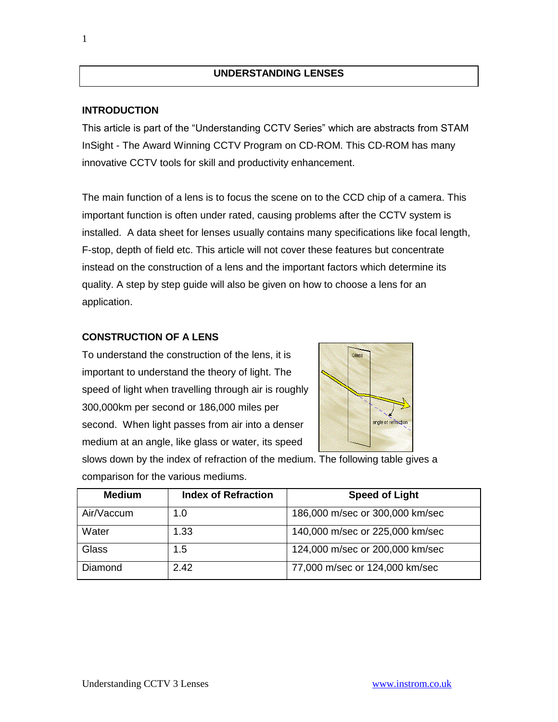## **UNDERSTANDING LENSES**

#### **INTRODUCTION**

1

This article is part of the "Understanding CCTV Series" which are abstracts from STAM InSight - The Award Winning CCTV Program on CD-ROM. This CD-ROM has many innovative CCTV tools for skill and productivity enhancement.

The main function of a lens is to focus the scene on to the CCD chip of a camera. This important function is often under rated, causing problems after the CCTV system is installed. A data sheet for lenses usually contains many specifications like focal length, F-stop, depth of field etc. This article will not cover these features but concentrate instead on the construction of a lens and the important factors which determine its quality. A step by step guide will also be given on how to choose a lens for an application.

## **CONSTRUCTION OF A LENS**

To understand the construction of the lens, it is important to understand the theory of light. The speed of light when travelling through air is roughly 300,000km per second or 186,000 miles per second. When light passes from air into a denser medium at an angle, like glass or water, its speed



slows down by the index of refraction of the medium. The following table gives a comparison for the various mediums.

| <b>Medium</b> | <b>Index of Refraction</b> | <b>Speed of Light</b>           |
|---------------|----------------------------|---------------------------------|
| Air/Vaccum    | 1.0                        | 186,000 m/sec or 300,000 km/sec |
| Water         | 1.33                       | 140,000 m/sec or 225,000 km/sec |
| Glass         | 1.5                        | 124,000 m/sec or 200,000 km/sec |
| Diamond       | 2.42                       | 77,000 m/sec or 124,000 km/sec  |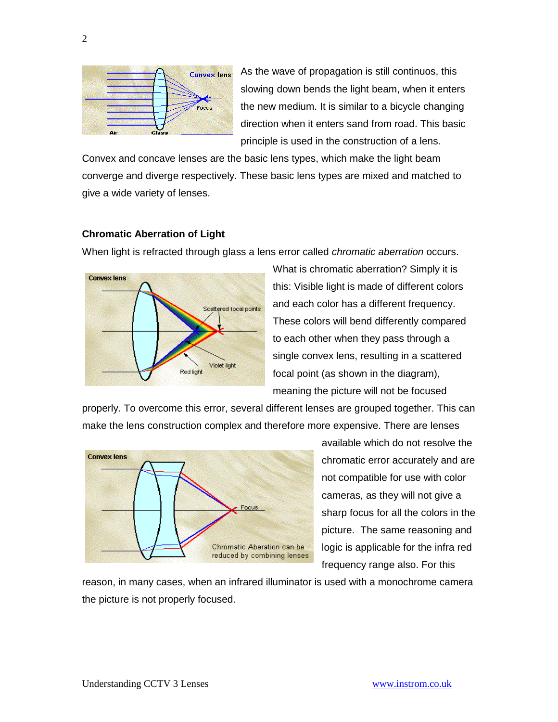

As the wave of propagation is still continuos, this slowing down bends the light beam, when it enters the new medium. It is similar to a bicycle changing direction when it enters sand from road. This basic principle is used in the construction of a lens.

Convex and concave lenses are the basic lens types, which make the light beam converge and diverge respectively. These basic lens types are mixed and matched to give a wide variety of lenses.

#### **Chromatic Aberration of Light**

When light is refracted through glass a lens error called *chromatic aberration* occurs.



What is chromatic aberration? Simply it is this: Visible light is made of different colors and each color has a different frequency. These colors will bend differently compared to each other when they pass through a single convex lens, resulting in a scattered focal point (as shown in the diagram), meaning the picture will not be focused

properly. To overcome this error, several different lenses are grouped together. This can make the lens construction complex and therefore more expensive. There are lenses



available which do not resolve the chromatic error accurately and are not compatible for use with color cameras, as they will not give a sharp focus for all the colors in the picture. The same reasoning and logic is applicable for the infra red frequency range also. For this

reason, in many cases, when an infrared illuminator is used with a monochrome camera the picture is not properly focused.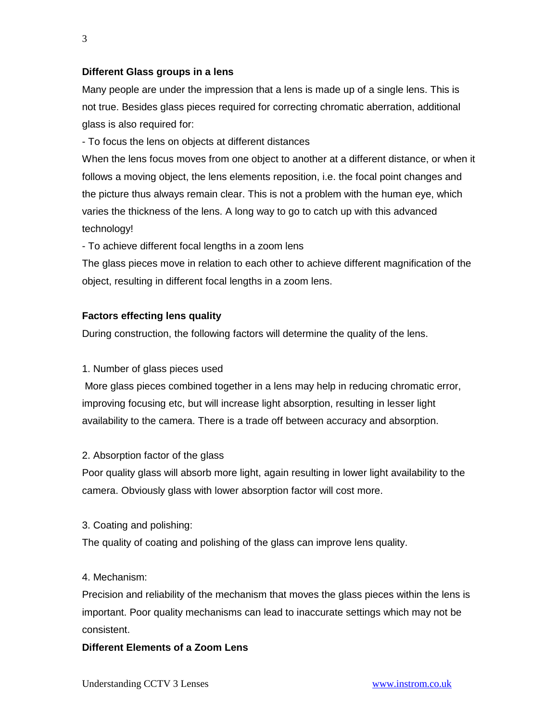## **Different Glass groups in a lens**

Many people are under the impression that a lens is made up of a single lens. This is not true. Besides glass pieces required for correcting chromatic aberration, additional glass is also required for:

- To focus the lens on objects at different distances

When the lens focus moves from one object to another at a different distance, or when it follows a moving object, the lens elements reposition, i.e. the focal point changes and the picture thus always remain clear. This is not a problem with the human eye, which varies the thickness of the lens. A long way to go to catch up with this advanced technology!

- To achieve different focal lengths in a zoom lens

The glass pieces move in relation to each other to achieve different magnification of the object, resulting in different focal lengths in a zoom lens.

## **Factors effecting lens quality**

During construction, the following factors will determine the quality of the lens.

#### 1. Number of glass pieces used

More glass pieces combined together in a lens may help in reducing chromatic error, improving focusing etc, but will increase light absorption, resulting in lesser light availability to the camera. There is a trade off between accuracy and absorption.

#### 2. Absorption factor of the glass

Poor quality glass will absorb more light, again resulting in lower light availability to the camera. Obviously glass with lower absorption factor will cost more.

#### 3. Coating and polishing:

The quality of coating and polishing of the glass can improve lens quality.

#### 4. Mechanism:

Precision and reliability of the mechanism that moves the glass pieces within the lens is important. Poor quality mechanisms can lead to inaccurate settings which may not be consistent.

#### **Different Elements of a Zoom Lens**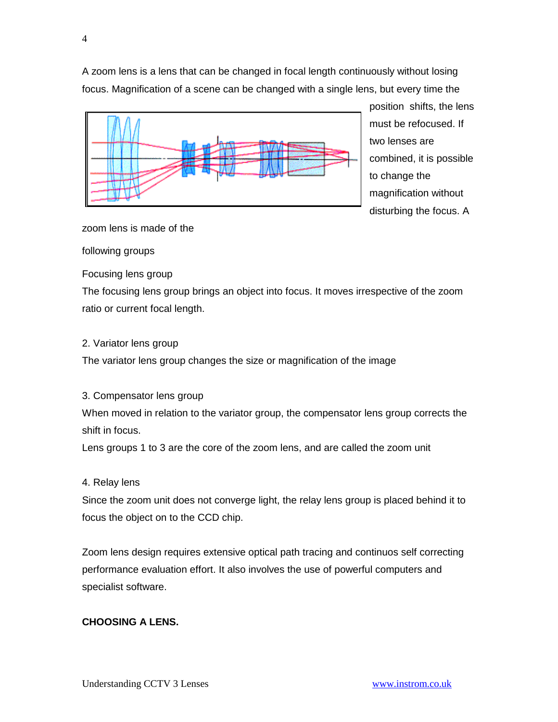A zoom lens is a lens that can be changed in focal length continuously without losing focus. Magnification of a scene can be changed with a single lens, but every time the



position shifts, the lens must be refocused. If two lenses are combined, it is possible to change the magnification without disturbing the focus. A

zoom lens is made of the

#### following groups

Focusing lens group

The focusing lens group brings an object into focus. It moves irrespective of the zoom ratio or current focal length.

#### 2. Variator lens group

The variator lens group changes the size or magnification of the image

3. Compensator lens group

When moved in relation to the variator group, the compensator lens group corrects the shift in focus.

Lens groups 1 to 3 are the core of the zoom lens, and are called the zoom unit

#### 4. Relay lens

Since the zoom unit does not converge light, the relay lens group is placed behind it to focus the object on to the CCD chip.

Zoom lens design requires extensive optical path tracing and continuos self correcting performance evaluation effort. It also involves the use of powerful computers and specialist software.

## **CHOOSING A LENS.**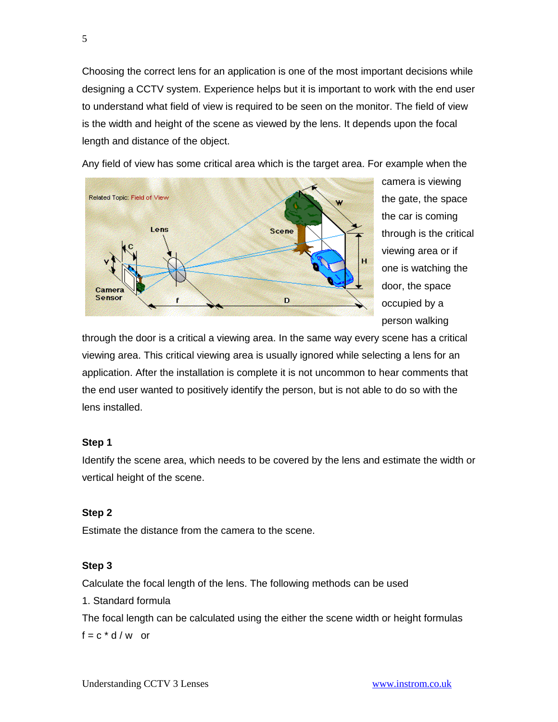Choosing the correct lens for an application is one of the most important decisions while designing a CCTV system. Experience helps but it is important to work with the end user to understand what field of view is required to be seen on the monitor. The field of view is the width and height of the scene as viewed by the lens. It depends upon the focal length and distance of the object.



Any field of view has some critical area which is the target area. For example when the

camera is viewing the gate, the space the car is coming through is the critical viewing area or if one is watching the door, the space occupied by a person walking

through the door is a critical a viewing area. In the same way every scene has a critical viewing area. This critical viewing area is usually ignored while selecting a lens for an application. After the installation is complete it is not uncommon to hear comments that the end user wanted to positively identify the person, but is not able to do so with the lens installed.

#### **Step 1**

Identify the scene area, which needs to be covered by the lens and estimate the width or vertical height of the scene.

#### **Step 2**

Estimate the distance from the camera to the scene.

#### **Step 3**

Calculate the focal length of the lens. The following methods can be used 1. Standard formula The focal length can be calculated using the either the scene width or height formulas  $f = c * d/w$  or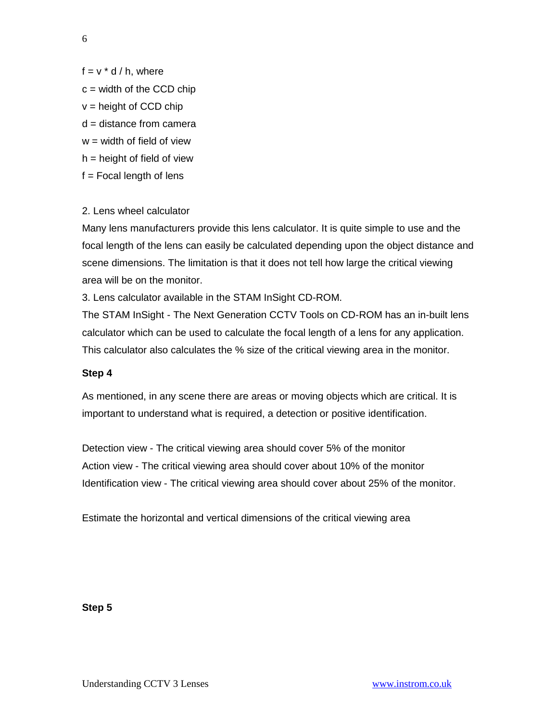6

- $f = v * d / h$ , where
- $c =$  width of the CCD chip
- $v =$  height of CCD chip
- $d =$  distance from camera
- $w =$  width of field of view
- $h =$  height of field of view
- $f = Focal length of lens$

# 2. Lens wheel calculator

Many lens manufacturers provide this lens calculator. It is quite simple to use and the focal length of the lens can easily be calculated depending upon the object distance and scene dimensions. The limitation is that it does not tell how large the critical viewing area will be on the monitor.

3. Lens calculator available in the STAM InSight CD-ROM.

The STAM InSight - The Next Generation CCTV Tools on CD-ROM has an in-built lens calculator which can be used to calculate the focal length of a lens for any application. This calculator also calculates the % size of the critical viewing area in the monitor.

## **Step 4**

As mentioned, in any scene there are areas or moving objects which are critical. It is important to understand what is required, a detection or positive identification.

Detection view - The critical viewing area should cover 5% of the monitor Action view - The critical viewing area should cover about 10% of the monitor Identification view - The critical viewing area should cover about 25% of the monitor.

Estimate the horizontal and vertical dimensions of the critical viewing area

## **Step 5**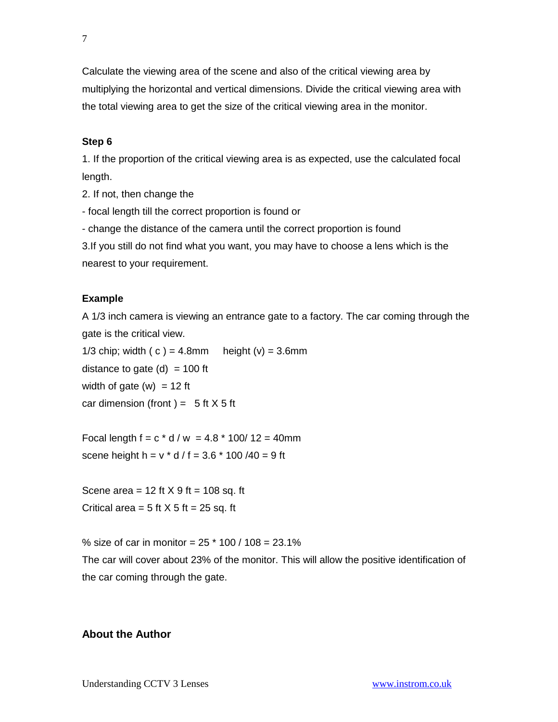Calculate the viewing area of the scene and also of the critical viewing area by multiplying the horizontal and vertical dimensions. Divide the critical viewing area with the total viewing area to get the size of the critical viewing area in the monitor.

## **Step 6**

1. If the proportion of the critical viewing area is as expected, use the calculated focal length.

2. If not, then change the

- focal length till the correct proportion is found or

- change the distance of the camera until the correct proportion is found

3.If you still do not find what you want, you may have to choose a lens which is the nearest to your requirement.

## **Example**

A 1/3 inch camera is viewing an entrance gate to a factory. The car coming through the gate is the critical view.

1/3 chip; width  $(c) = 4.8$ mm height  $(v) = 3.6$ mm distance to gate  $(d) = 100$  ft width of gate  $(w) = 12$  ft car dimension (front) =  $5$  ft  $X$  5 ft

Focal length  $f = c * d / w = 4.8 * 100 / 12 = 40$ mm scene height h =  $v * d / f = 3.6 * 100 / 40 = 9 ft$ 

Scene area =  $12$  ft  $X$  9 ft =  $108$  sq. ft Critical area  $= 5$  ft  $X$  5 ft  $= 25$  sq. ft

% size of car in monitor =  $25 * 100 / 108 = 23.1%$ The car will cover about 23% of the monitor. This will allow the positive identification of the car coming through the gate.

## **About the Author**

Understanding CCTV 3 Lenses [www.instrom.co.uk](http://www.instrom.co.uk/)